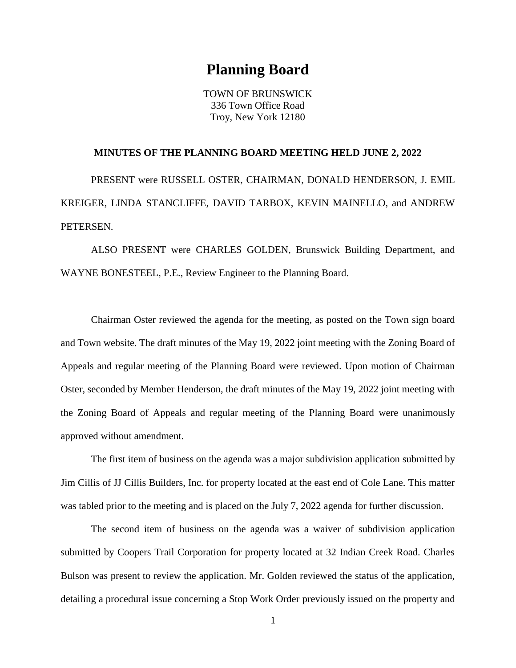## **Planning Board**

TOWN OF BRUNSWICK 336 Town Office Road Troy, New York 12180

## **MINUTES OF THE PLANNING BOARD MEETING HELD JUNE 2, 2022**

PRESENT were RUSSELL OSTER, CHAIRMAN, DONALD HENDERSON, J. EMIL KREIGER, LINDA STANCLIFFE, DAVID TARBOX, KEVIN MAINELLO, and ANDREW PETERSEN.

ALSO PRESENT were CHARLES GOLDEN, Brunswick Building Department, and WAYNE BONESTEEL, P.E., Review Engineer to the Planning Board.

Chairman Oster reviewed the agenda for the meeting, as posted on the Town sign board and Town website. The draft minutes of the May 19, 2022 joint meeting with the Zoning Board of Appeals and regular meeting of the Planning Board were reviewed. Upon motion of Chairman Oster, seconded by Member Henderson, the draft minutes of the May 19, 2022 joint meeting with the Zoning Board of Appeals and regular meeting of the Planning Board were unanimously approved without amendment.

The first item of business on the agenda was a major subdivision application submitted by Jim Cillis of JJ Cillis Builders, Inc. for property located at the east end of Cole Lane. This matter was tabled prior to the meeting and is placed on the July 7, 2022 agenda for further discussion.

The second item of business on the agenda was a waiver of subdivision application submitted by Coopers Trail Corporation for property located at 32 Indian Creek Road. Charles Bulson was present to review the application. Mr. Golden reviewed the status of the application, detailing a procedural issue concerning a Stop Work Order previously issued on the property and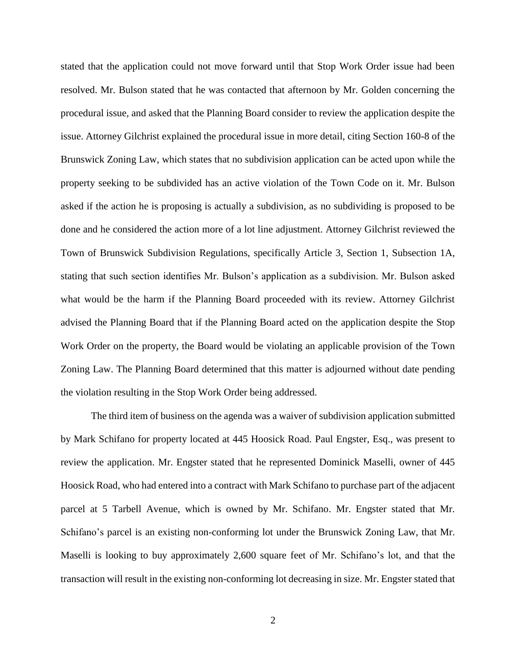stated that the application could not move forward until that Stop Work Order issue had been resolved. Mr. Bulson stated that he was contacted that afternoon by Mr. Golden concerning the procedural issue, and asked that the Planning Board consider to review the application despite the issue. Attorney Gilchrist explained the procedural issue in more detail, citing Section 160-8 of the Brunswick Zoning Law, which states that no subdivision application can be acted upon while the property seeking to be subdivided has an active violation of the Town Code on it. Mr. Bulson asked if the action he is proposing is actually a subdivision, as no subdividing is proposed to be done and he considered the action more of a lot line adjustment. Attorney Gilchrist reviewed the Town of Brunswick Subdivision Regulations, specifically Article 3, Section 1, Subsection 1A, stating that such section identifies Mr. Bulson's application as a subdivision. Mr. Bulson asked what would be the harm if the Planning Board proceeded with its review. Attorney Gilchrist advised the Planning Board that if the Planning Board acted on the application despite the Stop Work Order on the property, the Board would be violating an applicable provision of the Town Zoning Law. The Planning Board determined that this matter is adjourned without date pending the violation resulting in the Stop Work Order being addressed.

The third item of business on the agenda was a waiver of subdivision application submitted by Mark Schifano for property located at 445 Hoosick Road. Paul Engster, Esq., was present to review the application. Mr. Engster stated that he represented Dominick Maselli, owner of 445 Hoosick Road, who had entered into a contract with Mark Schifano to purchase part of the adjacent parcel at 5 Tarbell Avenue, which is owned by Mr. Schifano. Mr. Engster stated that Mr. Schifano's parcel is an existing non-conforming lot under the Brunswick Zoning Law, that Mr. Maselli is looking to buy approximately 2,600 square feet of Mr. Schifano's lot, and that the transaction will result in the existing non-conforming lot decreasing in size. Mr. Engster stated that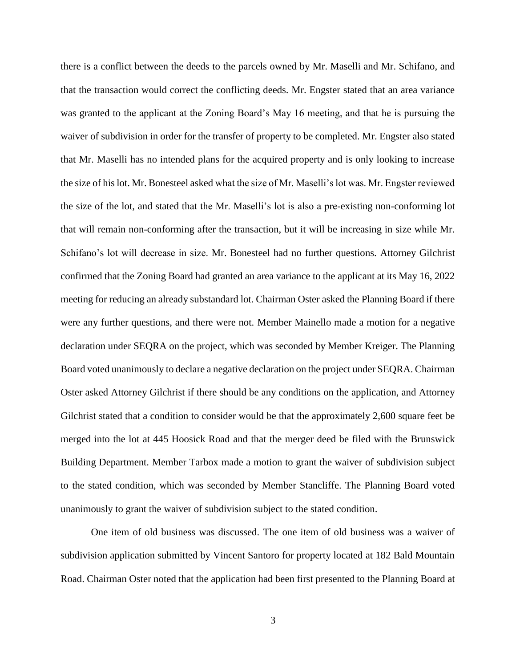there is a conflict between the deeds to the parcels owned by Mr. Maselli and Mr. Schifano, and that the transaction would correct the conflicting deeds. Mr. Engster stated that an area variance was granted to the applicant at the Zoning Board's May 16 meeting, and that he is pursuing the waiver of subdivision in order for the transfer of property to be completed. Mr. Engster also stated that Mr. Maselli has no intended plans for the acquired property and is only looking to increase the size of his lot. Mr. Bonesteel asked what the size of Mr. Maselli's lot was. Mr. Engster reviewed the size of the lot, and stated that the Mr. Maselli's lot is also a pre-existing non-conforming lot that will remain non-conforming after the transaction, but it will be increasing in size while Mr. Schifano's lot will decrease in size. Mr. Bonesteel had no further questions. Attorney Gilchrist confirmed that the Zoning Board had granted an area variance to the applicant at its May 16, 2022 meeting for reducing an already substandard lot. Chairman Oster asked the Planning Board if there were any further questions, and there were not. Member Mainello made a motion for a negative declaration under SEQRA on the project, which was seconded by Member Kreiger. The Planning Board voted unanimously to declare a negative declaration on the project under SEQRA. Chairman Oster asked Attorney Gilchrist if there should be any conditions on the application, and Attorney Gilchrist stated that a condition to consider would be that the approximately 2,600 square feet be merged into the lot at 445 Hoosick Road and that the merger deed be filed with the Brunswick Building Department. Member Tarbox made a motion to grant the waiver of subdivision subject to the stated condition, which was seconded by Member Stancliffe. The Planning Board voted unanimously to grant the waiver of subdivision subject to the stated condition.

One item of old business was discussed. The one item of old business was a waiver of subdivision application submitted by Vincent Santoro for property located at 182 Bald Mountain Road. Chairman Oster noted that the application had been first presented to the Planning Board at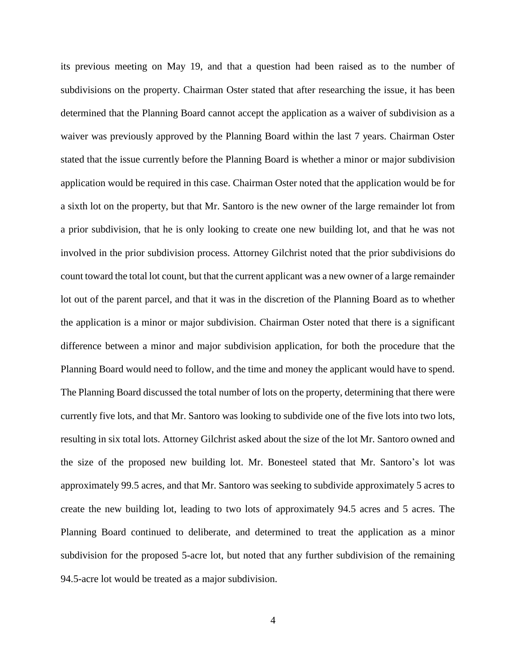its previous meeting on May 19, and that a question had been raised as to the number of subdivisions on the property. Chairman Oster stated that after researching the issue, it has been determined that the Planning Board cannot accept the application as a waiver of subdivision as a waiver was previously approved by the Planning Board within the last 7 years. Chairman Oster stated that the issue currently before the Planning Board is whether a minor or major subdivision application would be required in this case. Chairman Oster noted that the application would be for a sixth lot on the property, but that Mr. Santoro is the new owner of the large remainder lot from a prior subdivision, that he is only looking to create one new building lot, and that he was not involved in the prior subdivision process. Attorney Gilchrist noted that the prior subdivisions do count toward the total lot count, but that the current applicant was a new owner of a large remainder lot out of the parent parcel, and that it was in the discretion of the Planning Board as to whether the application is a minor or major subdivision. Chairman Oster noted that there is a significant difference between a minor and major subdivision application, for both the procedure that the Planning Board would need to follow, and the time and money the applicant would have to spend. The Planning Board discussed the total number of lots on the property, determining that there were currently five lots, and that Mr. Santoro was looking to subdivide one of the five lots into two lots, resulting in six total lots. Attorney Gilchrist asked about the size of the lot Mr. Santoro owned and the size of the proposed new building lot. Mr. Bonesteel stated that Mr. Santoro's lot was approximately 99.5 acres, and that Mr. Santoro was seeking to subdivide approximately 5 acres to create the new building lot, leading to two lots of approximately 94.5 acres and 5 acres. The Planning Board continued to deliberate, and determined to treat the application as a minor subdivision for the proposed 5-acre lot, but noted that any further subdivision of the remaining 94.5-acre lot would be treated as a major subdivision.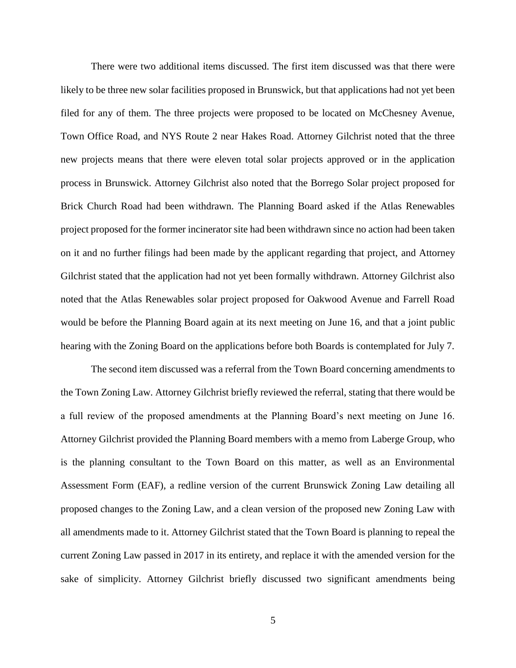There were two additional items discussed. The first item discussed was that there were likely to be three new solar facilities proposed in Brunswick, but that applications had not yet been filed for any of them. The three projects were proposed to be located on McChesney Avenue, Town Office Road, and NYS Route 2 near Hakes Road. Attorney Gilchrist noted that the three new projects means that there were eleven total solar projects approved or in the application process in Brunswick. Attorney Gilchrist also noted that the Borrego Solar project proposed for Brick Church Road had been withdrawn. The Planning Board asked if the Atlas Renewables project proposed for the former incinerator site had been withdrawn since no action had been taken on it and no further filings had been made by the applicant regarding that project, and Attorney Gilchrist stated that the application had not yet been formally withdrawn. Attorney Gilchrist also noted that the Atlas Renewables solar project proposed for Oakwood Avenue and Farrell Road would be before the Planning Board again at its next meeting on June 16, and that a joint public hearing with the Zoning Board on the applications before both Boards is contemplated for July 7.

The second item discussed was a referral from the Town Board concerning amendments to the Town Zoning Law. Attorney Gilchrist briefly reviewed the referral, stating that there would be a full review of the proposed amendments at the Planning Board's next meeting on June 16. Attorney Gilchrist provided the Planning Board members with a memo from Laberge Group, who is the planning consultant to the Town Board on this matter, as well as an Environmental Assessment Form (EAF), a redline version of the current Brunswick Zoning Law detailing all proposed changes to the Zoning Law, and a clean version of the proposed new Zoning Law with all amendments made to it. Attorney Gilchrist stated that the Town Board is planning to repeal the current Zoning Law passed in 2017 in its entirety, and replace it with the amended version for the sake of simplicity. Attorney Gilchrist briefly discussed two significant amendments being